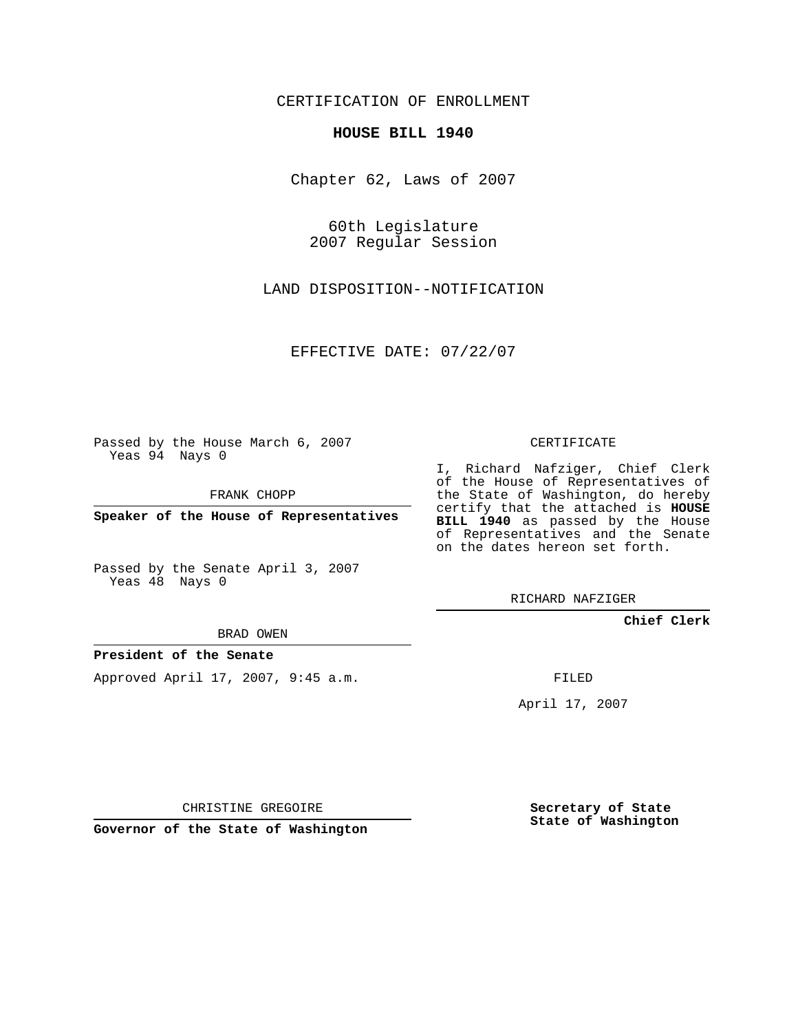CERTIFICATION OF ENROLLMENT

## **HOUSE BILL 1940**

Chapter 62, Laws of 2007

60th Legislature 2007 Regular Session

LAND DISPOSITION--NOTIFICATION

EFFECTIVE DATE: 07/22/07

Passed by the House March 6, 2007 Yeas 94 Nays 0

FRANK CHOPP

**Speaker of the House of Representatives**

Passed by the Senate April 3, 2007 Yeas 48 Nays 0

BRAD OWEN

**President of the Senate**

Approved April 17, 2007, 9:45 a.m.

CERTIFICATE

I, Richard Nafziger, Chief Clerk of the House of Representatives of the State of Washington, do hereby certify that the attached is **HOUSE BILL 1940** as passed by the House of Representatives and the Senate on the dates hereon set forth.

RICHARD NAFZIGER

**Chief Clerk**

FILED

April 17, 2007

CHRISTINE GREGOIRE

**Governor of the State of Washington**

**Secretary of State State of Washington**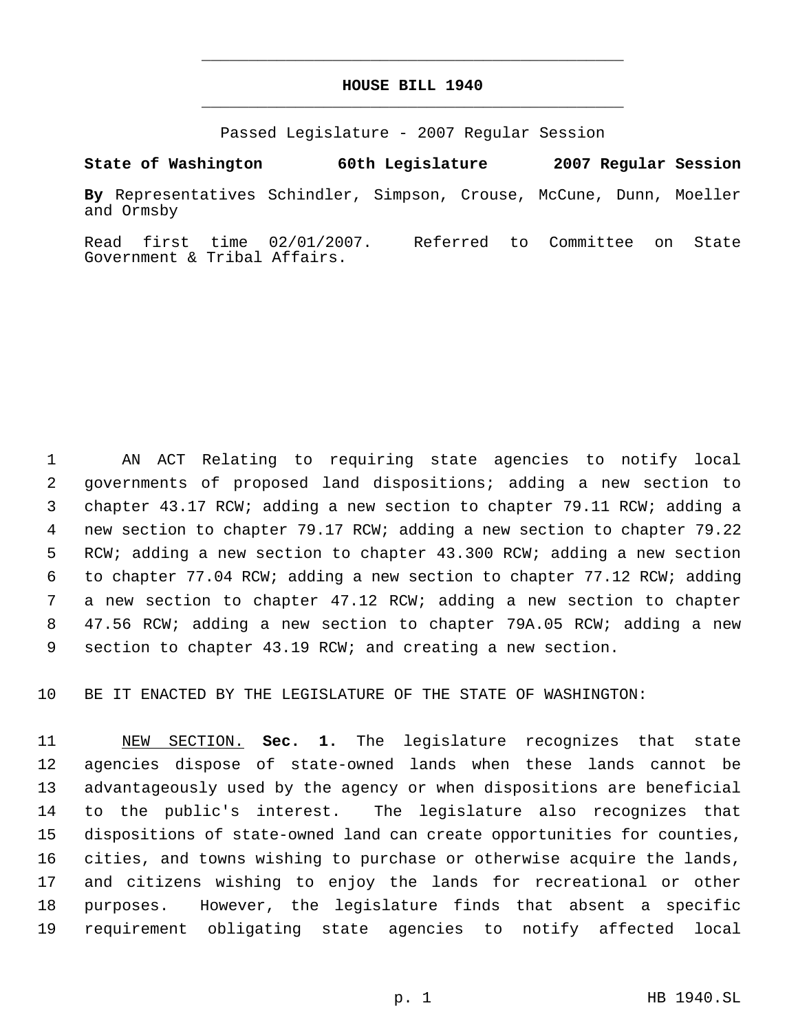## **HOUSE BILL 1940** \_\_\_\_\_\_\_\_\_\_\_\_\_\_\_\_\_\_\_\_\_\_\_\_\_\_\_\_\_\_\_\_\_\_\_\_\_\_\_\_\_\_\_\_\_

\_\_\_\_\_\_\_\_\_\_\_\_\_\_\_\_\_\_\_\_\_\_\_\_\_\_\_\_\_\_\_\_\_\_\_\_\_\_\_\_\_\_\_\_\_

Passed Legislature - 2007 Regular Session

**State of Washington 60th Legislature 2007 Regular Session**

**By** Representatives Schindler, Simpson, Crouse, McCune, Dunn, Moeller and Ormsby

Read first time 02/01/2007. Referred to Committee on State Government & Tribal Affairs.

 AN ACT Relating to requiring state agencies to notify local governments of proposed land dispositions; adding a new section to chapter 43.17 RCW; adding a new section to chapter 79.11 RCW; adding a new section to chapter 79.17 RCW; adding a new section to chapter 79.22 RCW; adding a new section to chapter 43.300 RCW; adding a new section to chapter 77.04 RCW; adding a new section to chapter 77.12 RCW; adding a new section to chapter 47.12 RCW; adding a new section to chapter 47.56 RCW; adding a new section to chapter 79A.05 RCW; adding a new section to chapter 43.19 RCW; and creating a new section.

BE IT ENACTED BY THE LEGISLATURE OF THE STATE OF WASHINGTON:

 NEW SECTION. **Sec. 1.** The legislature recognizes that state agencies dispose of state-owned lands when these lands cannot be advantageously used by the agency or when dispositions are beneficial to the public's interest. The legislature also recognizes that dispositions of state-owned land can create opportunities for counties, cities, and towns wishing to purchase or otherwise acquire the lands, and citizens wishing to enjoy the lands for recreational or other purposes. However, the legislature finds that absent a specific requirement obligating state agencies to notify affected local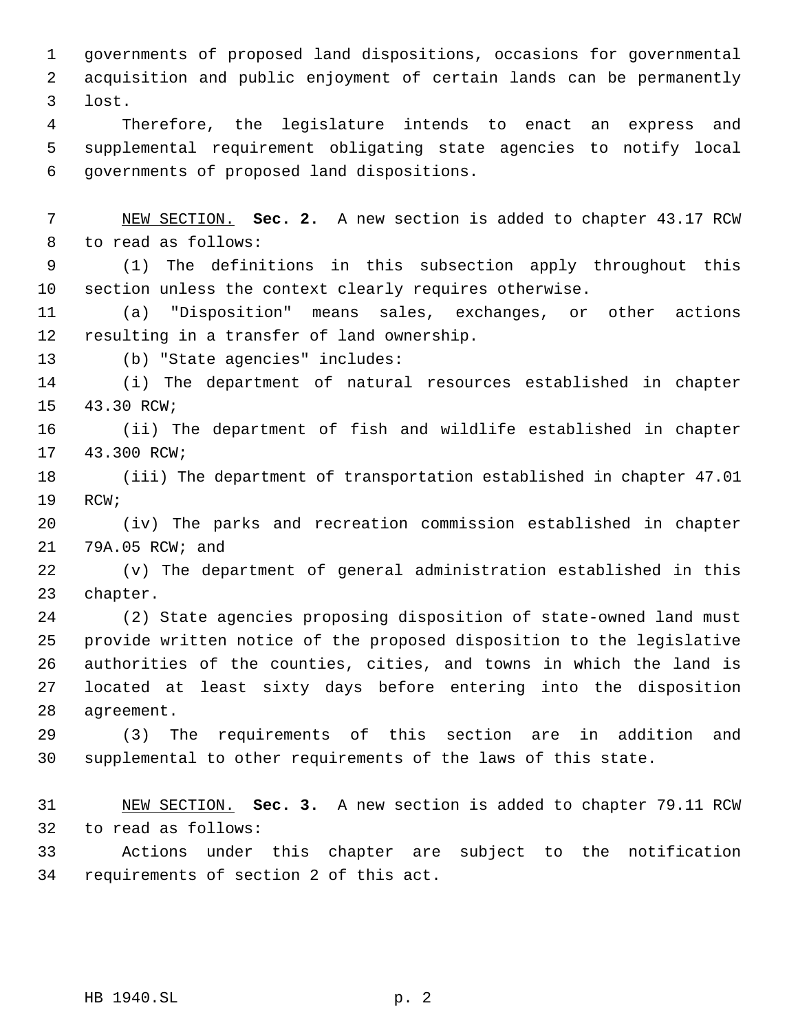governments of proposed land dispositions, occasions for governmental acquisition and public enjoyment of certain lands can be permanently lost.

 Therefore, the legislature intends to enact an express and supplemental requirement obligating state agencies to notify local governments of proposed land dispositions.

 NEW SECTION. **Sec. 2.** A new section is added to chapter 43.17 RCW to read as follows:

 (1) The definitions in this subsection apply throughout this section unless the context clearly requires otherwise.

 (a) "Disposition" means sales, exchanges, or other actions resulting in a transfer of land ownership.

(b) "State agencies" includes:

 (i) The department of natural resources established in chapter 43.30 RCW;

 (ii) The department of fish and wildlife established in chapter 43.300 RCW;

 (iii) The department of transportation established in chapter 47.01 RCW;

 (iv) The parks and recreation commission established in chapter 79A.05 RCW; and

 (v) The department of general administration established in this chapter.

 (2) State agencies proposing disposition of state-owned land must provide written notice of the proposed disposition to the legislative authorities of the counties, cities, and towns in which the land is located at least sixty days before entering into the disposition agreement.

 (3) The requirements of this section are in addition and supplemental to other requirements of the laws of this state.

 NEW SECTION. **Sec. 3.** A new section is added to chapter 79.11 RCW to read as follows:

 Actions under this chapter are subject to the notification requirements of section 2 of this act.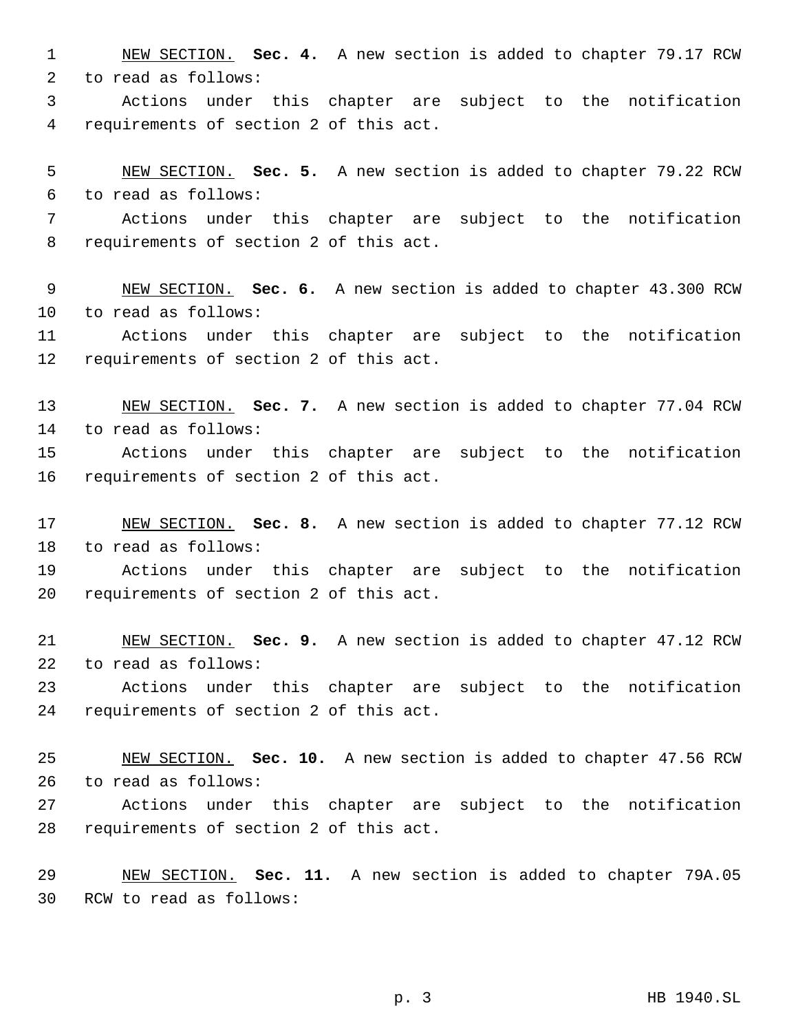NEW SECTION. **Sec. 4.** A new section is added to chapter 79.17 RCW to read as follows:

 Actions under this chapter are subject to the notification requirements of section 2 of this act.

 NEW SECTION. **Sec. 5.** A new section is added to chapter 79.22 RCW to read as follows:

 Actions under this chapter are subject to the notification requirements of section 2 of this act.

 NEW SECTION. **Sec. 6.** A new section is added to chapter 43.300 RCW to read as follows:

 Actions under this chapter are subject to the notification requirements of section 2 of this act.

 NEW SECTION. **Sec. 7.** A new section is added to chapter 77.04 RCW to read as follows:

 Actions under this chapter are subject to the notification requirements of section 2 of this act.

 NEW SECTION. **Sec. 8.** A new section is added to chapter 77.12 RCW to read as follows:

 Actions under this chapter are subject to the notification requirements of section 2 of this act.

 NEW SECTION. **Sec. 9.** A new section is added to chapter 47.12 RCW to read as follows:

 Actions under this chapter are subject to the notification requirements of section 2 of this act.

 NEW SECTION. **Sec. 10.** A new section is added to chapter 47.56 RCW to read as follows:

 Actions under this chapter are subject to the notification requirements of section 2 of this act.

 NEW SECTION. **Sec. 11.** A new section is added to chapter 79A.05 RCW to read as follows:

p. 3 HB 1940.SL